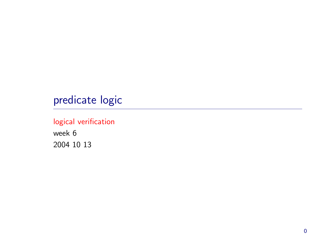# predicate logic

### logical verification

week 6 2004 10 13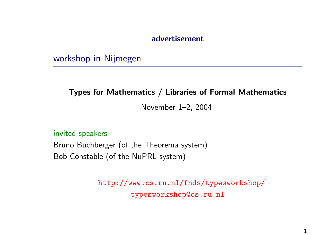#### advertisement

workshop in Nijmegen

### Types for Mathematics / Libraries of Formal Mathematics

November 1–2, 2004

invited speakers Bruno Buchberger (of the Theorema system) Bob Constable (of the NuPRL system)

> http://www.cs.ru.nl/fnds/typesworkshop/ typesworkshop@cs.ru.nl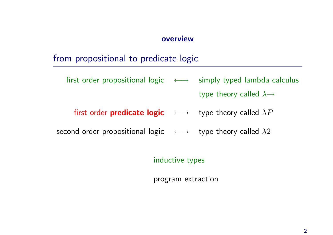#### overview

# from propositional to predicate logic

- first order propositional logic  $\longleftrightarrow$  simply typed lambda calculus type theory called  $\lambda \rightarrow$ 
	- first order **predicate logic**  $\longleftrightarrow$  type theory called  $\lambda P$
- second order propositional logic  $\longleftrightarrow$  type theory called  $\lambda 2$

inductive types

program extraction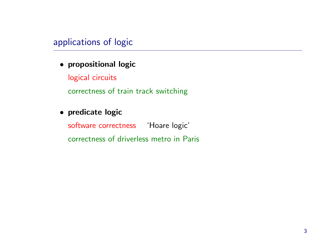### applications of logic

• propositional logic

logical circuits correctness of train track switching

### • predicate logic

software correctness 'Hoare logic' correctness of driverless metro in Paris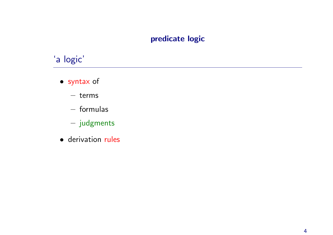### predicate logic

# 'a logic'

- syntax of
	- terms
	- formulas
	- $-$  judgments
- derivation rules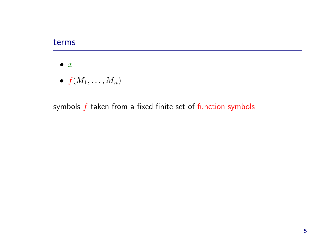#### terms

 $\bullet$   $x$ 

 $\bullet~~ f(M_1,\ldots,M_n)$ 

symbols  $f$  taken from a fixed finite set of function symbols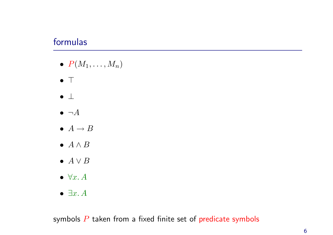## formulas

- $\bullet \ \ P(M_1, \ldots, M_n)$
- $\bullet$   $\top$
- ⊥
- $\bullet \ \lnot A$
- $\bullet\; A \to B$
- $\bullet$   $A \land B$
- $\bullet\; A \vee B$
- $\bullet\ \forall x. A$
- $\bullet \ \exists x. A$

symbols  $P$  taken from a fixed finite set of predicate symbols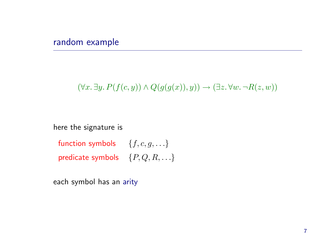$$
(\forall x. \ \exists y. \ P(f(c, y)) \land Q(g(g(x)), y)) \rightarrow (\exists z. \ \forall w. \ \neg R(z, w))
$$

here the signature is

function symbols  $\{f, c, g, \ldots\}$ predicate symbols  $\{P, Q, R, \ldots\}$ 

each symbol has an arity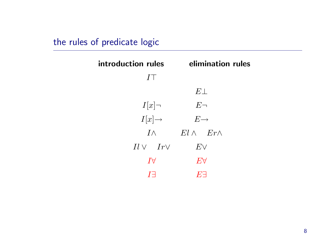the rules of predicate logic

| introduction rules   | elimination rules     |
|----------------------|-----------------------|
| $I\top$              |                       |
|                      | $E \bot$              |
| I[x]                 | $E\Box$               |
| $I[x] \rightarrow$   | $E \rightarrow$       |
| $I \wedge$           | $El \wedge Er \wedge$ |
| $Il \vee Ir \vee$    | $E\vee$               |
| $\mathcal{I}\forall$ | $E\forall$            |
|                      |                       |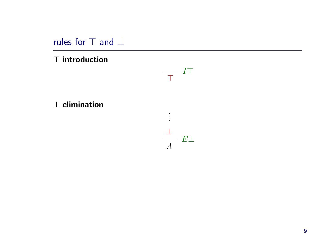rules for  $\top$  and  $\bot$ 

 $\top$  introduction





 $\hspace{1.9cm}\rule{1.5cm}{0.15mm}\hspace{1.9cm}\rule{1.5cm}\hspace{1.5cm}\tau$ 

 $\top$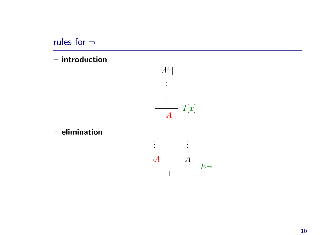# rules for  $\neg$

 $\neg$  introduction



 $\neg$  elimination

$$
\begin{array}{c|cc}\n\neg A & A \\
\hline\n\perp & E\n\end{array}
$$

4. 一个4.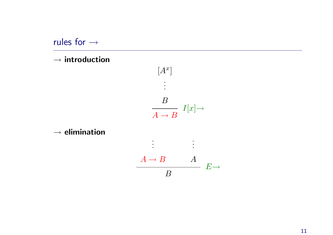rules for <sup>→</sup>

 $\rightarrow$  introduction



 $\rightarrow$  elimination

$$
\begin{array}{c}\nA \to B \\
\hline\nB\n\end{array}
$$

. . .

. . .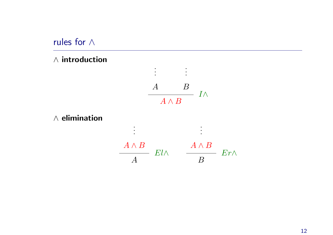rules for ∧

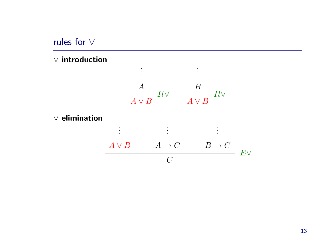rules for ∨

∨ introduction

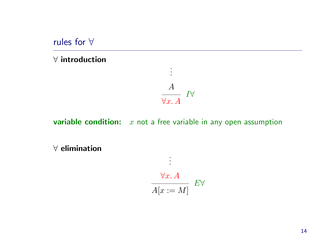rules for ∀

∀ introduction

$$
\displaystyle \frac{A}{\forall x. \, A} \;\; I \forall
$$

. . .

**variable condition:**  $x$  not a free variable in any open assumption

. . .

∀ elimination

$$
\frac{\forall x. A}{A[x := M]} E \forall
$$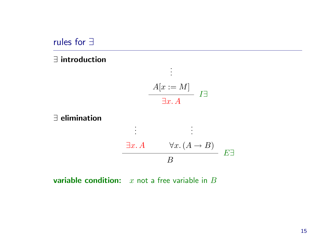### rules for ∃

### ∃ introduction

$$
\cfrac{A[x := M]}{\exists x. A} \quad I \exists
$$

. . .



**variable condition:** x not a free variable in  $B$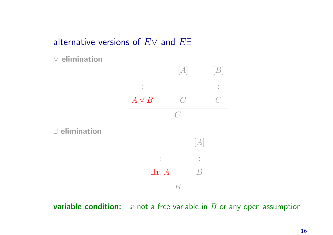# alternative versions of  $E\vee$  and  $E\exists$



**variable condition:**  $x$  not a free variable in  $B$  or any open assumption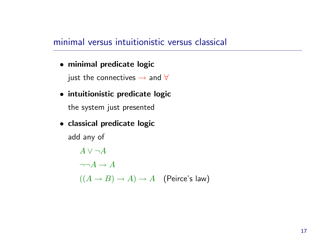### minimal versus intuitionistic versus classical

• minimal predicate logic

just the connectives  $\rightarrow$  and  $\forall$ 

- intuitionistic predicate logic the system just presented
- classical predicate logic

add any of

 $A \vee \neg A$  $\neg\neg A \rightarrow A$  $((A \rightarrow B) \rightarrow A) \rightarrow A$  (Peirce's law)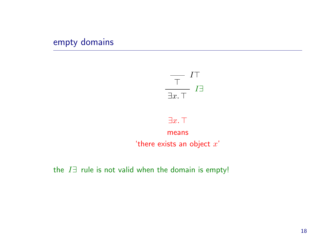### empty domains



### $\exists x.\top$

means 'there exists an object  $x'$ 

the  $I\exists$  rule is not valid when the domain is empty!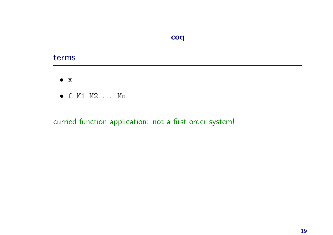#### coq

#### terms

- $\bullet$  X
- f M1 M2 ... Mn

curried function application: not a first order system!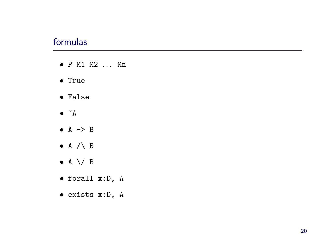### formulas

- P M1 M2 . . . Mn
- True
- False
- $\bullet$   $\tilde{}$   $\land$
- $\bullet$  A  $\rightarrow$  B
- $\bullet$  A  $\land$  B
- $\bullet$  A  $\setminus$  B
- forall x:D, A
- exists x:D, A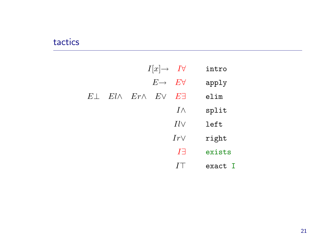# tactics

|                                 | $I[x] \rightarrow \Gamma \forall$ |            | intro           |
|---------------------------------|-----------------------------------|------------|-----------------|
|                                 | $E \rightarrow E \forall$         |            | apply           |
| $E\bot$ $El \wedge$ $Er \wedge$ | $E\vee$                           | $E\Box$    | elim            |
|                                 |                                   | $I\wedge$  | split           |
|                                 |                                   | $Il\vee$   | left            |
|                                 |                                   | $Ir\vee$   | right           |
|                                 |                                   | $I\exists$ | exists          |
|                                 |                                   |            | exact<br>$\top$ |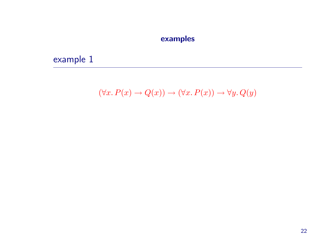### examples

example 1

$$
(\forall x. P(x) \to Q(x)) \to (\forall x. P(x)) \to \forall y. Q(y)
$$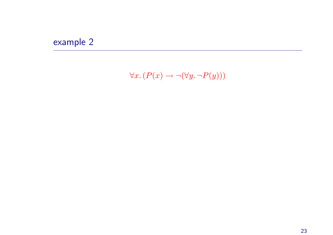# example 2

 $\forall x. (P(x) \rightarrow \neg(\forall y. \neg P(y)))$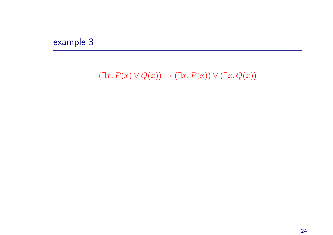# example 3

 $(\exists x. P(x) \vee Q(x)) \rightarrow (\exists x. P(x)) \vee (\exists x. Q(x))$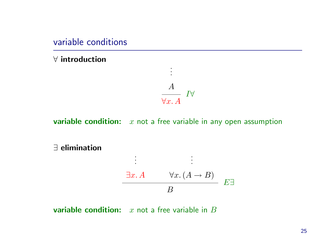variable conditions

∀ introduction

$$
\frac{A}{\forall x. A} I \forall
$$

. . .

**variable condition:**  $x$  not a free variable in any open assumption

∃ elimination

$$
\frac{\exists x. A \qquad \forall x. (A \rightarrow B)}{B} E\exists
$$

**variable condition:** x not a free variable in  $B$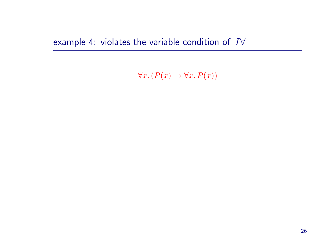# example 4: violates the variable condition of  $I\forall$

 $\forall x. (P(x) \rightarrow \forall x. P(x))$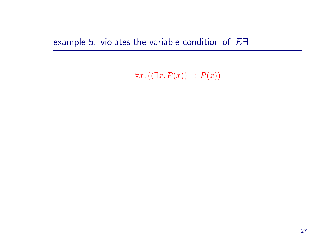# example 5: violates the variable condition of  $E\exists$

 $\forall x. ((\exists x. P(x)) \rightarrow P(x))$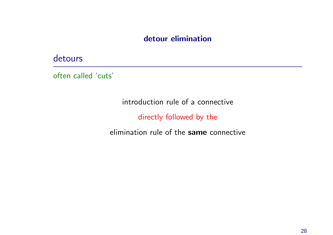#### detour elimination

### detours

often called 'cuts'

introduction rule of <sup>a</sup> connective

directly followed by the

elimination rule of the same connective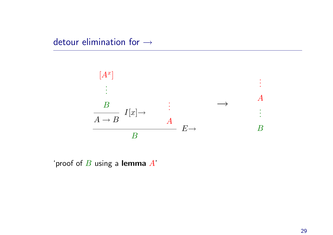detour elimination for  $\rightarrow$ 



'proof of  $B$  using a lemma  $A'$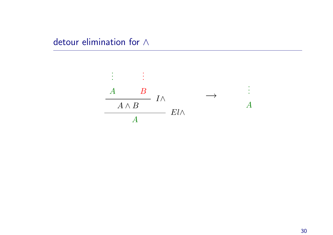# detour elimination for  $\wedge$

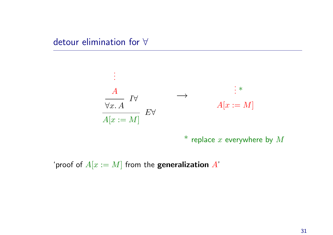### detour elimination for ∀



 $^{\ast}$  replace  $x$  everywhere by  $M$ 

'proof of  $A[x := M]$  from the generalization  $A'$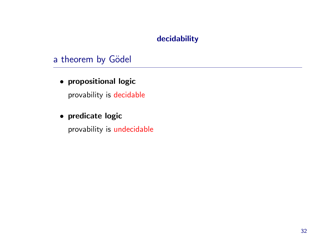### decidability

a theorem by Gödel

• propositional logic provability is decidable

### • predicate logic

provability is undecidable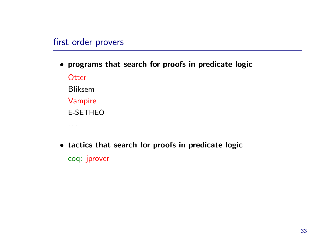### first order provers

- programs that search for proofs in predicate logic
	- **Otter** Bliksem Vampire E-SETHEO

. . .

• tactics that search for proofs in predicate logic coq: jprover